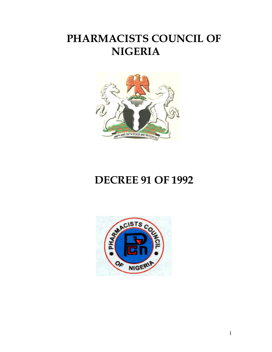# PHARMACISTS COUNCIL OF NIGERIA



# DECREE 91 OF 1992

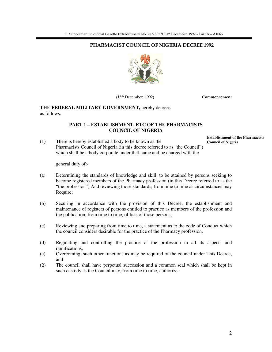#### PHARMACIST COUNCIL OF NIGERIA DECREE 1992



(15th December, 1992) Commencement

#### **THE FEDERAL MILITARY GOVERNMENT,** hereby decrees as follows:

#### **PART 1 – ESTABLISHMENT, ETC OF THE PHARMACISTS COUNCIL OF NIGERIA**

(1) There is hereby established a body to be known as the Pharmacists Council of Nigeria (in this decree referred to as "the Council") which shall be a body corporate under that name and be charged with the **Establishment of the Pharmacists Council of Nigeria**

general duty of:-

- (a) Determining the standards of knowledge and skill, to be attained by persons seeking to become registered members of the Pharmacy profession (in this Decree referred to as the "the profession") And reviewing those standards, from time to time as circumstances may Require;
- (b) Securing in accordance with the provision of this Decree, the establishment and maintenance of registers of persons entitled to practice as members of the profession and the publication, from time to time, of lists of those persons;
- (c) Reviewing and preparing from time to time, a statement as to the code of Conduct which the council considers desirable for the practice of the Pharmacy profession,
- (d) Regulating and controlling the practice of the profession in all its aspects and ramifications.
- (e) Overcoming, such other functions as may be required of the council under This Decree, and
- (2) The council shall have perpetual succession and a common seal which shall be kept in such custody as the Council may, from time to time, authorize.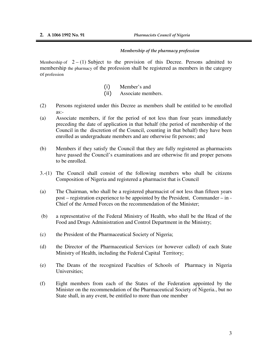í

#### Membership of the pharmacy profession

Membership of  $2 - (1)$  Subject to the provision of this Decree. Persons admitted to membership the pharmacy of the profession shall be registered as members in the category of profession

- (i) Member's and
- (ii) Associate members.
- (2) Persons registered under this Decree as members shall be entitled to be enrolled as:-
- (a) Associate members, if for the period of not less than four years immediately preceding the date of application in that behalf (the period of membership of the Council in the discretion of the Council, counting in that behalf) they have been enrolled as undergraduate members and are otherwise fit persons; and
- (b) Members if they satisfy the Council that they are fully registered as pharmacists have passed the Council's examinations and are otherwise fit and proper persons to be enrolled.
- 3.-(1) The Council shall consist of the following members who shall be citizens Composition of Nigeria and registered a pharmacist that is Council
- (a) The Chairman, who shall be a registered pharmacist of not less than fifteen years post – registration experience to be appointed by the President, Commander – in - Chief of the Armed Forces on the recommendation of the Minister;
- (b) a representative of the Federal Ministry of Health, who shall be the Head of the Food and Drugs Administration and Control Department in the Ministry;
- (c) the President of the Pharmaceutical Society of Nigeria;
- (d) the Director of the Pharmaceutical Services (or however called) of each State Ministry of Health, including the Federal Capital Territory;
- (e) The Deans of the recognized Faculties of Schools of Pharmacy in Nigeria Universities;
- (f) Eight members from each of the States of the Federation appointed by the Minister on the recommendation of the Pharmaceutical Society of Nigeria., but no State shall, in any event, be entitled to more than one member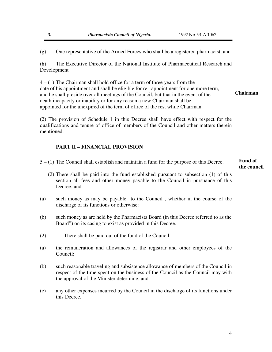(g) One representative of the Armed Forces who shall be a registered pharmacist, and

(h) The Executive Director of the National Institute of Pharmaceutical Research and Development

4 – (1) The Chairman shall hold office for a term of three years from the date of his appointment and shall be eligible for re –appointment for one more term, and he shall preside over all meetings of the Council, but that in the event of the death incapacity or inability or for any reason a new Chairman shall be appointed for the unexpired of the term of office of the rest while Chairman. **Chairman**

(2) The provision of Schedule 1 in this Decree shall have effect with respect for the qualifications and tenure of office of members of the Council and other matters therein mentioned.

#### **PART II – FINANCIAL PROVISION**

5 – (1) The Council shall establish and maintain a fund for the purpose of this Decree.

#### **Fund of the council**

- (2) There shall be paid into the fund established pursuant to subsection (1) of this section all fees and other money payable to the Council in pursuance of this Decree: and
- (a) such money as may be payable to the Council , whether in the course of the discharge of its functions or otherwise:
- (b) such money as are held by the Pharmacists Board (in this Decree referred to as the Board") on its casing to exist as provided in this Decree.
- (2) There shall be paid out of the fund of the Council –
- (a) the remuneration and allowances of the registrar and other employees of the Council;
- (b) such reasonable traveling and subsistence allowance of members of the Council in respect of the time spent on the business of the Council as the Council may with the approval of the Minister determine; and
- (c) any other expenses incurred by the Council in the discharge of its functions under this Decree.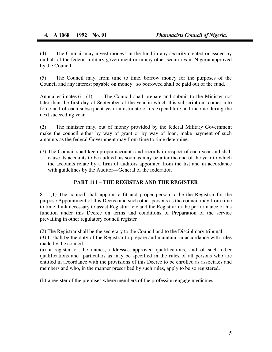ī

(4) The Council may invest moneys in the fund in any security created or issued by on half of the federal military government or in any other securities in Nigeria approved by the Council.

(5) The Council may, from time to time, borrow money for the purposes of the Council and any interest payable on money so borrowed shall be paid out of the fund.

Annual estimates  $6 - (1)$  The Council shall prepare and submit to the Minister not later than the first day of September of the year in which this subscription comes into force and of each subsequent year an estimate of its expenditure and income during the next succeeding year.

(2) The minister may, out of money provided by the federal Military Government make the council either by way of grant or by way of loan, make payment of such amounts as the federal Government may from time to time determine.

(7) The Council shall keep proper accounts and records in respect of each year and shall cause its accounts to be audited as soon as may be after the end of the year to which the accounts relate by a firm of auditors appointed from the list and in accordance with guidelines by the Auditor—General of the federation

#### **PART 111 – THE REGISTAR AND THE REGISTER**

8: - (1) The council shall appoint a fit and proper person to be the Registrar for the purpose Appointment of this Decree and such other persons as the council may from time to time think necessary to assist Registrar, etc and the Registrar in the performance of his function under this Decree on terms and conditions of Preparation of the service prevailing in other regulatory council register

(2) The Registrar shall be the secretary to the Council and to the Disciplinary tribunal.

(3) It shall be the duty of the Registrar to prepare and maintain, in accordance with rules made by the council,

(a) a register of the names, addresses approved qualifications, and of such other qualifications and particulars as may be specified in the rules of all persons who are entitled in accordance with the provisions of this Decree to be enrolled as associates and members and who, in the manner prescribed by such rules, apply to be so registered.

(b) a register of the premises where members of the profession engage medicines.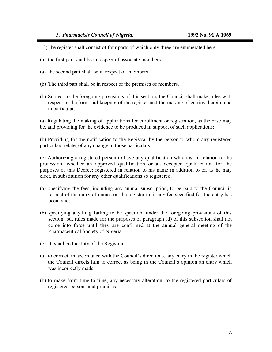ī

(3)The register shall consist of four parts of which only three are enumerated here.

- (a) the first part shall be in respect of associate members
- (a) the second part shall be in respect of members
- (b) The third part shall be in respect of the premises of members.
- (b) Subject to the foregoing provisions of this section, the Council shall make rules with respect to the form and keeping of the register and the making of entries therein, and in particular.

(a) Regulating the making of applications for enrollment or registration, as the case may be, and providing for the evidence to be produced in support of such applications:

(b) Providing for the notification to the Registrar by the person to whom any registered particulars relate, of any change in those particulars:

(c) Authorizing a registered person to have any qualification which is, in relation to the profession, whether an approved qualification or an accepted qualification for the purposes of this Decree; registered in relation to his name in addition to or, as he may elect, in substitution for any other qualifications so registered.

- (a) specifying the fees, including any annual subscription, to be paid to the Council in respect of the entry of names on the register until any fee specified for the entry has been paid;
- (b) specifying anything failing to be specified under the foregoing provisions of this section, but rules made for the purposes of paragraph (d) of this subsection shall not come into force until they are confirmed at the annual general meeting of the Pharmaceutical Society of Nigeria
- (c) It shall be the duty of the Registrar
- (a) to correct, in accordance with the Council's directions, any entry in the register which the Council directs him to correct as being in the Council's opinion an entry which was incorrectly made:
- (b) to make from time to time, any necessary alteration, to the registered particulars of registered persons and premises;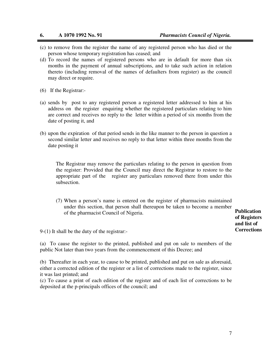ī

- (c) to remove from the register the name of any registered person who has died or the person whose temporary registration has ceased; and
- (d) To record the names of registered persons who are in default for more than six months in the payment of annual subscriptions, and to take such action in relation thereto (including removal of the names of defaulters from register) as the council may direct or require.
- (6) If the Registrar:-
- (a) sends by post to any registered person a registered letter addressed to him at his address on the register enquiring whether the registered particulars relating to him are correct and receives no reply to the letter within a period of six months from the date of posting it, and
- (b) upon the expiration of that period sends in the like manner to the person in question a second similar letter and receives no reply to that letter within three months from the date posting it

The Registrar may remove the particulars relating to the person in question from the register: Provided that the Council may direct the Registrar to restore to the appropriate part of the register any particulars removed there from under this subsection.

(7) When a person's name is entered on the register of pharmacists maintained under this section, that person shall thereupon be taken to become a member of the pharmacist Council of Nigeria.

**Publication of Registers and list of Corrections** 

9-(1) It shall be the duty of the registrar:-

(a) To cause the register to the printed, published and put on sale to members of the public Not later than two years from the commencement of this Decree; and

(b) Thereafter in each year, to cause to be printed, published and put on sale as aforesaid, either a corrected edition of the register or a list of corrections made to the register, since it was last printed; and

(c) To cause a print of each edition of the register and of each list of corrections to be deposited at the p-principals offices of the council; and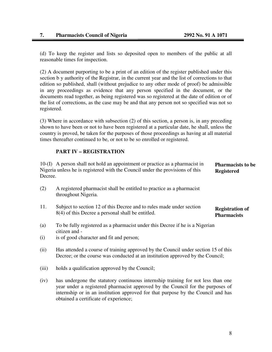Ī

(d) To keep the register and lists so deposited open to members of the public at all reasonable times for inspection.

(2) A document purporting to be a print of an edition of the register published under this section b y authority of the Registrar, in the current year and the list of corrections to that edition so published, shall (without prejudice to any other mode of proof) be admissible in any proceedings as evidence that any person specified in the document, or the documents read together, as being registered was so registered at the date of edition or of the list of corrections, as the case may be and that any person not so specified was not so registered.

(3) Where in accordance with subsection (2) of this section, a person is, in any preceding shown to have been or not to have been registered at a particular date, he shall, unless the country is proved, be taken for the purposes of those proceedings as having at all material times thereafter continued to be, or not to be so enrolled or registered.

#### **PART IV – REGISTRATION**

10-(I) A person shall not hold an appointment or practice as a pharmacist in Nigeria unless he is registered with the Council under the provisions of this Decree. **Pharmacists to be Registered** 

- (2) A registered pharmacist shall be entitled to practice as a pharmacist throughout Nigeria.
- 11. Subject to section 12 of this Decree and to rules made under section 8(4) of this Decree a personal shall be entitled. **Registration of Pharmacists**
- (a) To be fully registered as a pharmacist under this Decree if he is a Nigerian citizen and -
- (i) is of good character and fit and person;
- (ii) Has attended a course of training approved by the Council under section 15 of this Decree; or the course was conducted at an institution approved by the Council;
- (iii) holds a qualification approved by the Council;
- (iv) has undergone the statutory continuous internship training for not less than one year under a registered pharmacist approved by the Council for the purposes of internship or in an institution approved for that purpose by the Council and has obtained a certificate of experience;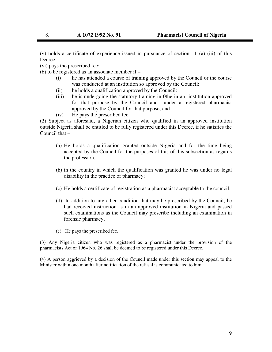(v) holds a certificate of experience issued in pursuance of section 11 (a) (iii) of this Decree;

(vi) pays the prescribed fee;

(b) to be registered as an associate member if –

- (i) he has attended a course of training approved by the Council or the course was conducted at an institution so approved by the Council:
- (ii) he holds a qualification approved by the Council:
- (iii) he is undergoing the statutory training in 0the in an institution approved for that purpose by the Council and under a registered pharmacist approved by the Council for that purpose, and
- (iv) He pays the prescribed fee.

(2) Subject as aforesaid, a Nigerian citizen who qualified in an approved institution outside Nigeria shall be entitled to be fully registered under this Decree, if he satisfies the Council that –

- (a) He holds a qualification granted outside Nigeria and for the time being accepted by the Council for the purposes of this of this subsection as regards the profession.
- (b) in the country in which the qualification was granted he was under no legal disability in the practice of pharmacy;
- (c) He holds a certificate of registration as a pharmacist acceptable to the council.
- (d) In addition to any other condition that may be prescribed by the Council, he had received instruction s in an approved institution in Nigeria and passed such examinations as the Council may prescribe including an examination in forensic pharmacy;
- (e) He pays the prescribed fee.

(3) Any Nigeria citizen who was registered as a pharmacist under the provision of the pharmacists Act of 1964 No. 26 shall be deemed to be registered under this Decree.

(4) A person aggrieved by a decision of the Council made under this section may appeal to the Minister within one month after notification of the refusal is communicated to him.

ī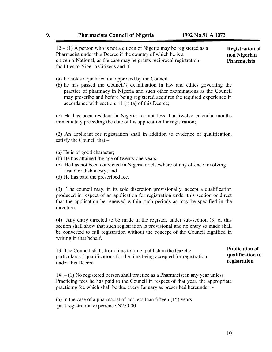ī  $12 - (1)$  A person who is not a citizen of Nigeria may be registered as a Pharmacist under this Decree if the country of which he is a citizen orNational, as the case may be grants reciprocal registration facilities to Nigeria Citizens and if-

**Registration of non Nigerian Pharmacists** 

- (a) he holds a qualification approved by the Council
- (b) he has passed the Council's examination in law and ethics governing the practice of pharmacy in Nigeria and such other examinations as the Council may prescribe and before being registered acquires the required experience in accordance with section. 11 (i) (a) of this Decree;

(c) He has been resident in Nigeria for not less than twelve calendar months immediately preceding the date of his application for registration;

(2) An applicant for registration shall in addition to evidence of qualification, satisfy the Council that –

- (a) He is of good character;
- (b) He has attained the age of twenty one years,
- (c) He has not been convicted in Nigeria or elsewhere of any offence involving fraud or dishonesty; and
- (d) He has paid the prescribed fee.

(3) The council may, in its sole discretion provisionally, accept a qualification produced in respect of an application for registration under this section or direct that the application be renewed within such periods as may be specified in the direction.

(4) Any entry directed to be made in the register, under sub-section (3) of this section shall show that such registration is provisional and no entry so made shall be converted to full registration without the concept of the Council signified in writing in that behalf.

13. The Council shall, from time to time, publish in the Gazette particulars of qualifications for the time being accepted for registration under this Decree

 $14. - (1)$  No registered person shall practice as a Pharmacist in any year unless Practicing fees he has paid to the Council in respect of that year, the appropriate practicing fee which shall be due every January as prescribed hereunder: -

(a) In the case of a pharmacist of not less than fifteen (15) years post registration experience N250.00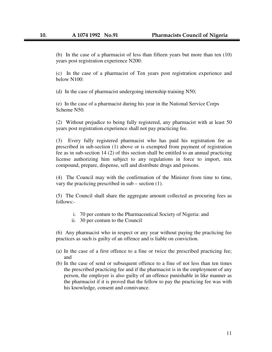(b) In the case of a pharmacist of less than fifteen years but more than ten (10) years post registration experience N200:

(c) In the case of a pharmacist of Ten years post registration experience and below N100:

(d) In the case of pharmacist undergoing internship training N50;

(e) In the case of a pharmacist during his year in the National Service Corps Scheme N50.

(2) Without prejudice to being fully registered, any pharmacist with at least 50 years post registration experience shall not pay practicing fee.

(3) Every fully registered pharmacist who has paid his registration fee as prescribed in sub-section (1) above or is exempted from payment of registration fee as in sub-section 14 (2) of this section shall be entitled to an annual practicing license authorizing him subject to any regulations in force to import, mix compound, prepare, dispense, sell and distribute drugs and poisons.

(4) The Council may with the confirmation of the Minister from time to time, vary the practicing prescribed in sub – section (1).

(5) The Council shall share the aggregate amount collected as procuring fees as follows:-

- i. 70 per centum to the Pharmaceutical Society of Nigeria: and
- ii. 30 per centum to the Council

(6) Any pharmacist who in respect or any year without paying the practicing fee practices as such is guilty of an offence and is liable on conviction.

- (a) In the case of a first offence to a fine or twice the prescribed practicing fee; and
- (b) In the case of send or subsequent offence to a fine of not less than ten times the prescribed practicing fee and if the pharmacist is in the employment of any person, the employer is also guilty of an offence punishable in like manner as the pharmacist if it is proved that the fellow to pay the practicing fee was with his knowledge, consent and connivance.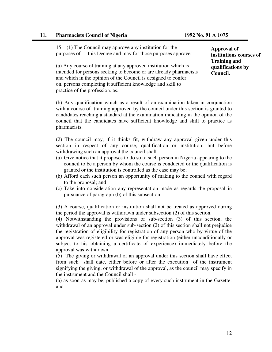#### **11. Pharmacists Council of Nigeria 1992 No. 91 A 1075**

15 – (1) The Council may approve any institution for the purposes of this Decree and may for those purposes approve:-

(a) Any course of training at any approved institution which is intended for persons seeking to become or are already pharmacists and which in the opinion of the Council is designed to confer on, persons completing it sufficient knowledge and skill to practice of the profession. as.

**Approval of institutions courses of Training and qualifications by Council.** 

(b) Any qualification which as a result of an examination taken in conjunction with a course of training approved by the council under this section is granted to candidates reaching a standard at the examination indicating in the opinion of the council that the candidates have sufficient knowledge and skill to practice as pharmacists.

(2) The council may, if it thinks fit, withdraw any approval given under this section in respect of any course, qualification or institution; but before withdrawing such an approval the council shall-

- (a) Give notice that it proposes to do so to such person in Nigeria appearing to the council to be a person by whom the course is conducted or the qualification is granted or the institution is controlled as the case may be;
- (b) Afford each such person an opportunity of making to the council with regard to the proposal; and
- (c) Take into consideration any representation made as regards the proposal in pursuance of paragraph (b) of this subsection.

(3) A course, qualification or institution shall not be treated as approved during the period the approval is withdrawn under subsection (2) of this section.

(4) Notwithstanding the provisions of sub-section (3) of this section, the withdrawal of an approval under sub-section (2) of this section shall not prejudice the registration of eligibility for registration of any person who by virtue of the approval was registered or was eligible for registration (either unconditionally or subject to his obtaining a certificate of experience) immediately before the approval was withdrawn.

(5) The giving or withdrawal of an approval under this section shall have effect from such shall date, either before or after the execution of the instrument signifying the giving, or withdrawal of the approval, as the council may specify in the instrument and the Council shall -

(a) as soon as may be, published a copy of every such instrument in the Gazette: and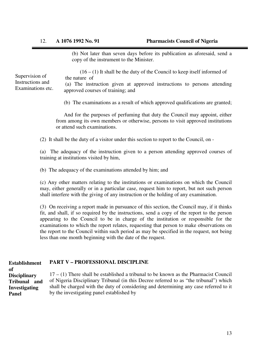(b) Not later than seven days before its publication as aforesaid, send a copy of the instrument to the Minister.

Supervision of Instructions and Examinations etc.

 $(16 - (1)$  It shall be the duty of the Council to keep itself informed of the nature of

 (a) The instruction given at approved instructions to persons attending approved courses of training; and

(b) The examinations as a result of which approved qualifications are granted;

And for the purposes of perfuming that duty the Council may appoint, either from among its own members or otherwise, persons to visit approved institutions or attend such examinations.

(2) It shall be the duty of a visitor under this section to report to the Council, on -

(a) The adequacy of the instruction given to a person attending approved courses of training at institutions visited by him,

(b) The adequacy of the examinations attended by him; and

(c) Any other matters relating to the institutions or examinations on which the Council may, either generally or in a particular case, request him to report, but not such person shall interfere with the giving of any instruction or the holding of any examination.

(3) On receiving a report made in pursuance of this section, the Council may, if it thinks fit, and shall, if so required by the instructions, send a copy of the report to the person appearing to the Council to be in charge of the institution or responsible for the examinations to which the report relates, requesting that person to make observations on the report to the Council within such period as may be specified in the request, not being less than one month beginning with the date of the request.

#### **PART V – PROFESSIONAL DISCIPLINE Establishment**

17 – (1) There shall be established a tribunal to be known as the Pharmacist Council of Nigeria Disciplinary Tribunal (in this Decree referred to as "the tribunal") which shall be charged with the duty of considering and determining any case referred to it by the investigating panel established by **of Disciplinary Tribunal and Investigating Panel**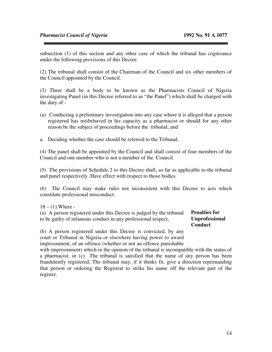subsection (1) of this section and any other case of which the tribunal has cognizance under the following provisions of this Decree.

(2) The tribunal shall consist of the Chairman of the Council and six other members of the Council appointed by the Council.

(3) There shall be a body to be known as the Pharmacists Council of Nigeria investigating Panel (in this Decree referred to as "the Panel") which shall be charged with the duty of -

- (a) Conducting a preliminary investigation into any case where it is alleged that a person registered has misbehaved in his capacity as a pharmacist or should for any other reason be the subject of proceedings before the tribunal; and
- a. Deciding whether the case should be referred to the Tribunal.

(4) The panel shall be appointed by the Council and shall consist of four members of the Council and one member who is not a member of the Council.

(5) The provisions of Schedule 2 to this Decree shall, so far as applicable to the tribunal and panel respectively. Have effect with respect to those bodies.

(6) The Council may make rules not inconsistent with this Decree to acts which constitute professional misconduct.

 $18 - (1)$  Where -

| (a) A person registered under this Decree is judged by the tribunal | <b>Penalties for</b>  |
|---------------------------------------------------------------------|-----------------------|
| to be guilty of infamous conduct in any professional respect,       | <b>Unprofessional</b> |
|                                                                     | Conduct               |

(b) A person registered under this Decree is convicted, by any court or Tribunal in Nigeria or elsewhere having power to award imprisonment, of an offence (whether or not an offence punishable

with imprisonment) which in the opinion of the tribunal is incompatible with the status of a pharmacist; or (c) The tribunal is satisfied that the name of any person has been fraudulently registered, The tribunal may, if it thinks fit, give a direction reprimanding that person or ordering the Registrar to strike his name off the relevant part of the register.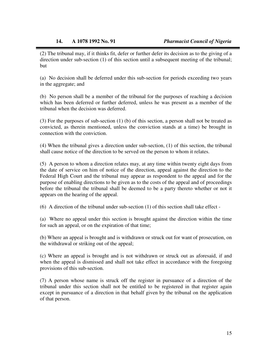(2) The tribunal may, if it thinks fit, defer or further defer its decision as to the giving of a direction under sub-section (1) of this section until a subsequent meeting of the tribunal; but

(a) No decision shall be deferred under this sub-section for periods exceeding two years in the aggregate; and

(b) No person shall be a member of the tribunal for the purposes of reaching a decision which has been deferred or further deferred, unless he was present as a member of the tribunal when the decision was deferred.

(3) For the purposes of sub-section (1) (b) of this section, a person shall not be treated as convicted, as therein mentioned, unless the conviction stands at a time) be brought in connection with the conviction.

(4) When the tribunal gives a direction under sub-section, (1) of this section, the tribunal shall cause notice of the direction to be served on the person to whom it relates.

(5) A person to whom a direction relates may, at any time within twenty eight days from the date of service on him of notice of the direction, appeal against the direction to the Federal High Court and the tribunal may appear as respondent to the appeal and for the purpose of enabling directions to be given as to the costs of the appeal and of proceedings before the tribunal the tribunal shall be deemed to be a party thereto whether or not it appears on the hearing of the appeal.

(6) A direction of the tribunal under sub-section (1) of this section shall take effect -

(a) Where no appeal under this section is brought against the direction within the time for such an appeal, or on the expiration of that time;

(b) Where an appeal is brought and is withdrawn or struck out for want of prosecution, on the withdrawal or striking out of the appeal;

(c) Where an appeal is brought and is not withdrawn or struck out as aforesaid, if and when the appeal is dismissed and shall not take effect in accordance with the foregoing provisions of this sub-section.

(7) A person whose name is struck off the register in pursuance of a direction of the tribunal under this section shall not be entitled to be registered in that register again except in pursuance of a direction in that behalf given by the tribunal on the application of that person.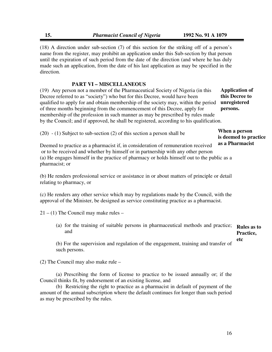(18) A direction under sub-section (7) of this section for the striking off of a person's name from the register, may prohibit an application under this Sub-section by that person until the expiration of such period from the date of the direction (and where he has duly made such an application, from the date of his last application as may be specified in the direction.

#### **PART VI – MISCELLANEOUS**

(19) Any person not a member of the Pharmaceutical Society of Nigeria (in this Decree referred to as "society") who but for this Decree, would have been qualified to apply for and obtain membership of the society may, within the period of three months beginning from the commencement of this Decree, apply for membership of the profession in such manner as may be prescribed by rules made by the Council; and if approved, he shall be registered, according to his qualification. **Application of** 

**this Decree to unregistered persons.** 

| $(20) - (1)$ Subject to sub-section $(2)$ of this section a person shall be | When a person         |
|-----------------------------------------------------------------------------|-----------------------|
|                                                                             | is deemed to practice |

Deemed to practice as a pharmacist if, in consideration of remuneration received or to be received and whether by himself or in partnership with any other person (a) He engages himself in the practice of pharmacy or holds himself out to the public as a pharmacist; or  **as a Pharmacist** 

(b) He renders professional service or assistance in or about matters of principle or detail relating to pharmacy, or

(c) He renders any other service which may by regulations made by the Council, with the approval of the Minister, be designed as service constituting practice as a pharmacist.

 $21 - (1)$  The Council may make rules –

(a) for the training of suitable persons in pharmaceutical methods and practice; **Rules as to**  and **Practice,** 

(b) For the supervision and regulation of the engagement, training and transfer of such persons.

(2) The Council may also make rule –

 (a) Prescribing the form of license to practice to be issued annually or; if the Council thinks fit, by endorsement of an existing license, and

 (b) Restricting the right to practice as a pharmacist in default of payment of the amount of the annual subscription where the default continues for longer than such period as may be prescribed by the rules.

**etc**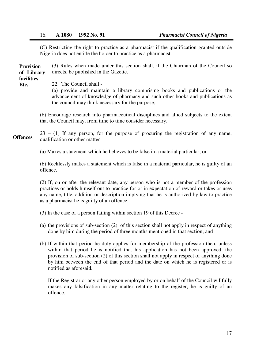(C) Restricting the right to practice as a pharmacist if the qualification granted outside Nigeria does not entitle the holder to practice as a pharmacist.

(3) Rules when made under this section shall, if the Chairman of the Council so directs, be published in the Gazette. **Provision of Library facilities** 

**Etc.**

l

22. The Council shall -

(a) provide and maintain a library comprising books and publications or the advancement of knowledge of pharmacy and such other books and publications as the council may think necessary for the purpose;

(b) Encourage research into pharmaceutical disciplines and allied subjects to the extent that the Council may, from time to time consider necessary.

 $23 - (1)$  If any person, for the purpose of procuring the registration of any name, qualification or other matter – **Offences** 

(a) Makes a statement which he believes to be false in a material particular; or

(b) Recklessly makes a statement which is false in a material particular, he is guilty of an offence.

(2) If, on or after the relevant date, any person who is not a member of the profession practices or holds himself out to practice for or in expectation of reward or takes or uses any name, title, addition or description implying that he is authorized by law to practice as a pharmacist he is guilty of an offence.

(3) In the case of a person failing within section 19 of this Decree -

- (a) the provisions of sub-section (2) of this section shall not apply in respect of anything done by him during the period of three months mentioned in that section; and
- (b) If within that period he duly applies for membership of the profession then, unless within that period he is notified that his application has not been approved, the provision of sub-section (2) of this section shall not apply in respect of anything done by him between the end of that period and the date on which he is registered or is notified as aforesaid.

If the Registrar or any other person employed by or on behalf of the Council willfully makes any falsification in any matter relating to the register, he is guilty of an offence.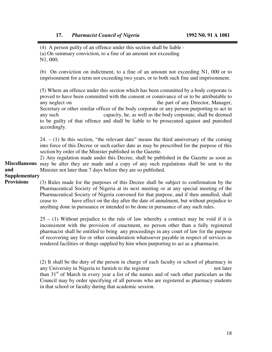(4) A person guilty of an offence under this section shall be liable -

- (a) On summary conviction, to a fine of an amount not exceeding
- N1, 000;

ı

(b) On conviction on indictment, to a fine of an amount not exceeding N1, 000 or to imprisonment for a term not exceeding two years, or to both such fine and imprisonment.

(5) Where an offence under this section which has been committed by a body corporate is proved to have been committed with the consent or connivance of or to be attributable to any neglect on the part of any Director, Manager, Secretary or other similar officer of the body corporate or any person purporting to act in any such capacity, he, as well as the body corporate, shall be deemed to be guilty of that offence and shall be liable to be prosecuted against and punished accordingly.

 $24. - (1)$  In this section, "the relevant date" means the third anniversary of the coming into force of this Decree or such earlier date as may be prescribed for the purpose of this section by order of the Minister published in the Gazette.

2) Any regulation made under this Decree, shall be published in the Gazette as soon as Miscellaneous may be after they are made and a copy of any such regulations shall be sent to the Minister not later than 7 days before they are so published. **and** 

### **Supplementary**

(3) Rules made for the purposes of this Decree shall be subject to confirmation by the Pharmaceutical Society of Nigeria at its next meeting or at any special meeting of the Pharmaceutical Society of Nigeria convened for that purpose, and if then annulled, shall cease to have effect on the day after the date of annulment, but without prejudice to anything done in pursuance or intended to be done in pursuance of any such rules. **Provisions** 

> $25 - (1)$  Without prejudice to the rule of law whereby a contract may be void if it is inconsistent with the provision of enactment, no person other than a fully registered pharmacist shall be entitled to bring any proceedings in any court of law for the purpose of recovering any fee or other consideration whatsoever payable in respect of services as rendered facilities or things supplied by him when purporting to act as a pharmacist.

> (2) It shall be the duty of the person in charge of each faculty or school of pharmacy in any University in Nigeria to furnish to the registrar not later not later than  $31<sup>st</sup>$  of March in every year a list of the names and of such other particulars as the Council may by order specifying of all persons who are registered as pharmacy students in that school or faculty during that academic session.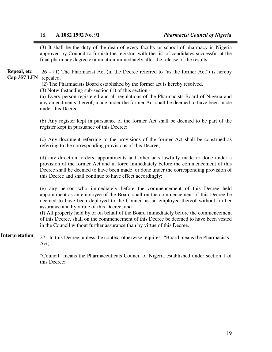ı (3) It shall be the duty of the dean of every faculty or school of pharmacy in Nigeria approved by Council to furnish the registrar with the list of candidates successful at the final pharmacy degree examination immediately after the release of the results.

 $26 - (1)$  The Pharmacist Act (in the Decree referred to "as the former Act") is hereby Cap 357 LFN repealed. **Repeal, etc**

(2) The Pharmacists Board established by the former act is hereby resolved.

(3) Notwithstanding sub-section (1) of this section -

(a) Every person registered and all regulations of the Pharmacists Board of Nigeria and any amendments thereof, made under the former Act shall be deemed to have been made under this Decree.

(b) Any register kept in pursuance of the former Act shall be deemed to be part of the register kept in pursuance of this Decree;

(c) Any document referring to the provisions of the former Act shall be construed as referring to the corresponding provisions of this Decree;

(d) any direction, orders, appointments and other acts lawfully made or done under a provision of the former Act and in force immediately before the commencement of this Decree shall be deemed to have been made or done under the corresponding provision of this Decree and shall continue to have effect accordingly;

(e) any person who immediately before the commencement of this Decree held appointment as an employee of the Board shall on the commencement of this Decree be deemed to have been deployed to the Council as an employee thereof without further assurance and by virtue of this Decree; and

(f) All property held by or on behalf of the Board immediately before the commencement of this Decree, shall on the commencement of this Decree be deemed to have been vested in the Council without further assurance than by virtue of this Decree.

27. In this Decree, unless the context otherwise requires- "Board means the Pharmacists Act; **Interpretation** 

> "Council" means the Pharmaceuticals Council of Nigeria established under section 1 of this Decree;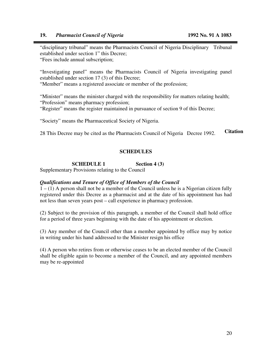ı

"disciplinary tribunal" means the Pharmacists Council of Nigeria Disciplinary Tribunal established under section 1" this Decree; "Fees include annual subscription;

"Investigating panel" means the Pharmacists Council of Nigeria investigating panel established under section 17 (3) of this Decree;

"Member" means a registered associate or member of the profession;

"Minister" means the minister charged with the responsibility for matters relating health; "Profession" means pharmacy profession;

"Register" means the register maintained in pursuance of section 9 of this Decree;

"Society" means the Pharmaceutical Society of Nigeria.

28 This Decree may be cited as the Pharmacists Council of Nigeria Decree 1992. **Citation** 

#### **SCHEDULES**

#### **SCHEDULE 1** Section 4 (3)

Supplementary Provisions relating to the Council

#### *Qualifications and Tenure of Office of Members of the Council*

 $1 - (1)$  A person shall not be a member of the Council unless he is a Nigerian citizen fully registered under this Decree as a pharmacist and at the date of his appointment has had not less than seven years post – call experience in pharmacy profession.

(2) Subject to the provision of this paragraph, a member of the Council shall hold office for a period of three years beginning with the date of his appointment or election.

(3) Any member of the Council other than a member appointed by office may by notice in writing under his hand addressed to the Minister resign his office

(4) A person who retires from or otherwise ceases to be an elected member of the Council shall be eligible again to become a member of the Council, and any appointed members may be re-appointed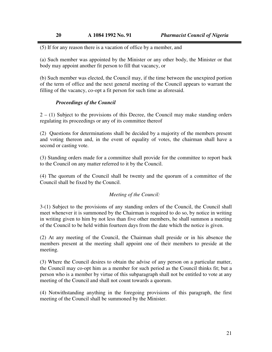(5) If for any reason there is a vacation of office by a member, and

(a) Such member was appointed by the Minister or any other body, the Minister or that body may appoint another fit person to fill that vacancy, or

(b) Such member was elected, the Council may, if the time between the unexpired portion of the term of office and the next general meeting of the Council appears to warrant the filling of the vacancy, co-opt a fit person for such time as aforesaid.

#### *Proceedings of the Council*

ı

2 – (1) Subject to the provisions of this Decree, the Council may make standing orders regulating its proceedings or any of its committee thereof

(2) Questions for determinations shall be decided by a majority of the members present and voting thereon and, in the event of equality of votes, the chairman shall have a second or casting vote.

(3) Standing orders made for a committee shall provide for the committee to report back to the Council on any matter referred to it by the Council.

(4) The quorum of the Council shall be twenty and the quorum of a committee of the Council shall be fixed by the Council.

#### *Meeting of the Council:*

3-(1) Subject to the provisions of any standing orders of the Council, the Council shall meet whenever it is summoned by the Chairman is required to do so, by notice in writing in writing given to him by not less than five other members, he shall summon a meeting of the Council to be held within fourteen days from the date which the notice is given.

(2) At any meeting of the Council, the Chairman shall preside or in his absence the members present at the meeting shall appoint one of their members to preside at the meeting.

(3) Where the Council desires to obtain the advise of any person on a particular matter, the Council may co-opt him as a member for such period as the Council thinks fit; but a person who is a member by virtue of this subparagraph shall not be entitled to vote at any meeting of the Council and shall not count towards a quorum.

(4) Notwithstanding anything in the foregoing provisions of this paragraph, the first meeting of the Council shall be summoned by the Minister.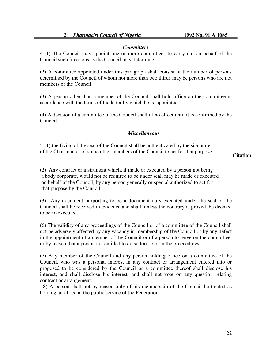#### *Committees*

4-(1) The Council may appoint one or more committees to carry out on behalf of the Council such functions as the Council may determine.

(2) A committee appointed under this paragraph shall consist of the number of persons determined by the Council of whom not more than two thirds may be persons who are not members of the Council.

(3) A person other than a member of the Council shall hold office on the committee in accordance with the terms of the letter by which he is appointed.

(4) A decision of a committee of the Council shall of no effect until it is confirmed by the Council.

#### *Miscellaneous*

5-(1) the fixing of the seal of the Council shall be authenticated by the signature of the Chairman or of some other members of the Council to act for that purpose.

#### **Citation**

(2) Any contract or instrument which, if made or executed by a person not being a body corporate, would not be required to be under seal, may be made or executed on behalf of the Council, by any person generally or special authorized to act for that purpose by the Council.

(3) Any document purporting to be a document duly executed under the seal of the Council shall be received in evidence and shall, unless the contrary is proved, be deemed to be so executed.

(6) The validity of any proceedings of the Council or of a committee of the Council shall not be adversely affected by any vacancy in membership of the Council or by any defect in the appointment of a member of the Council or of a person to serve on the committee, or by reason that a person not entitled to do so took part in the proceedings.

(7) Any member of the Council and any person holding office on a committee of the Council, who was a personal interest in any contract or arrangement entered into or proposed to be considered by the Council or a committee thereof shall disclose his interest, and shall disclose his interest, and shall not vote on any question relating contract or arrangement.

 (8) A person shall not by reason only of his membership of the Council be treated as holding an office in the public service of the Federation.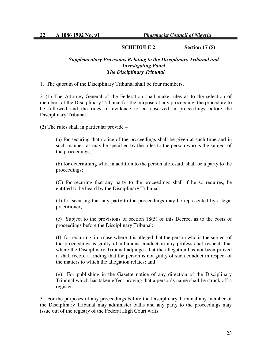٦

#### **SCHEDULE 2 Section 17 (5)**

#### *Supplementary Provisions Relating to the Disciplinary Tribunal and Investigating Panel The Disciplinary Tribunal*

1. The quorum of the Disciplinary Tribunal shall be four members.

2.-(1) The Attorney-General of the Federation shall make rules as to the selection of members of the Disciplinary Tribunal for the purpose of any proceeding, the procedure to be followed and the rules of evidence to be observed in proceedings before the Disciplinary Tribunal.

(2) The rules shall in particular provide –

(a) for securing that notice of the proceedings shall be given at such time and in such manner, as may be specified by the rules to the person who is the subject of the proceedings,

(b) for determining who, in addition to the person aforesaid, shall be a party to the proceedings;

(C) for securing that any party to the proceedings shall if he so requires, be entitled to be heard by the Disciplinary Tribunal:

(d) for securing that any party to the proceedings may be represented by a legal practitioner;

(e) Subject to the provisions of section 18(5) of this Decree, as to the costs of proceedings before the Disciplinary Tribunal:

(f) for requiring, in a case where it is alleged that the person who is the subject of the proceedings is guilty of infamous conduct in any professional respect, that where the Disciplinary Tribunal adjudges that the allegation has not been proved it shall record a finding that the person is not guilty of such conduct in respect of the matters to which the allegation relates; and

(g) For publishing in the Gazette notice of any direction of the Disciplinary Tribunal which has taken effect proving that a person's name shall be struck off a register.

3. For the purposes of any proceedings before the Disciplinary Tribunal any member of the Disciplinary Tribunal may administer oaths and any party to the proceedings may issue out of the registry of the Federal High Court writs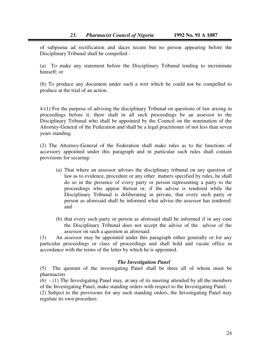I

of subpoena ad rectification and daces tecum but no person appearing before the Disciplinary Tribunal shall be compelled -

(a) To make any statement before the Disciplinary Tribunal tending to incriminate himself; or

(b) To produce any document under such a writ which he could not be compelled to produce at the trial of an action.

4-(1) For the purpose of advising the disciplinary Tribunal on questions of law arising in proceedings before it, there shall in all such proceedings be an assessor to the Disciplinary Tribunal who shall be appointed by the Council on the nomination of the Attorney-General of the Federation and shall be a legal practitioner of not less than seven years standing.

(2) The Attorney-General of the Federation shall make rules as to the functions of accessory appointed under this paragraph and in particular such rules shall contain provisions for securing-

- (a) That where an assessor advises the disciplinary tribunal on any question of law as to evidence, procedure or any other matters specified by rules, he shall do so in the presence of every party or person representing a party to the proceedings who appear thereat or, if the advise is tendered while the Disciplinary Tribunal is deliberating in private, that every such party or person as aforesaid shall be informed what advise the assessor has tendered: and
- (b) that every such party or person as aforesaid shall be informed if in any case the Disciplinary Tribunal does not accept the advise of the advise of the assessor on such a question as aforesaid.

(3) An assessor may be appointed under this paragraph either generally or for any particular proceedings or class of proceedings and shall hold and vacate office in accordance with the terms of the letter by which he is appointed.

#### *The Investigation Panel*

(5) The quorum of the investigating Panel shall be three all of whom must be pharmacists

(6) - (1) The Investigating Panel may, at any of its meeting attended by all the members of the Investigating Panel, make standing orders with respect to the Investigating Panel.

(2) Subject to the provisions for any such standing orders, the Investigating Panel may regulate its own procedure.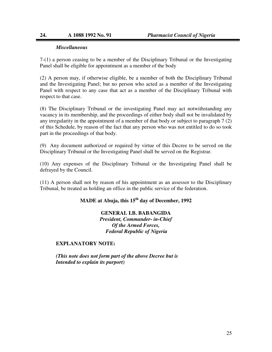#### *Miscellaneous*

I

7-(1) a person ceasing to be a member of the Disciplinary Tribunal or the Investigating Panel shall be eligible for appointment as a member of the body

(2) A person may, if otherwise eligible, be a member of both the Disciplinary Tribunal and the Investigating Panel; but no person who acted as a member of the Investigating Panel with respect to any case that act as a member of the Disciplinary Tribunal with respect to that case.

(8) The Disciplinary Tribunal or the investigating Panel may act notwithstanding any vacancy in its membership, and the proceedings of either body shall not be invalidated by any irregularity in the appointment of a member of that body or subject to paragraph 7 (2) of this Schedule, by reason of the fact that any person who was not entitled to do so took part in the proceedings of that body.

(9) Any document authorized or required by virtue of this Decree to be served on the Disciplinary Tribunal or the Investigating Panel shall be served on the Registrar.

(10) Any expenses of the Disciplinary Tribunal or the Investigating Panel shall be defrayed by the Council.

(11) A person shall not by reason of his appointment as an assessor to the Disciplinary Tribunal, be treated as holding an office in the public service of the federation.

### **MADE at Abuja, this 15th day of December, 1992**

**GENERAL I.B. BABANGIDA**  *President, Commander- in-Chief Of the Armed Forces, Federal Republic of Nigeria* 

#### **EXPLANATORY NOTE:**

*(This note does not form part of the above Decree but is Intended to explain its purport)*